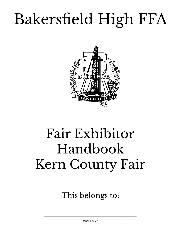# Bakersfield High FFA



## Fair Exhibitor Handbook Kern County Fair

This belongs to:

 $\mathcal{L}_\text{max}$  , and the contract of the contract of the contract of the contract of the contract of the contract of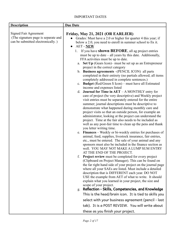#### IMPORTANT DATES

| <b>Description</b>                                                                                       | <b>Due Date</b>                                                                                                                                                                                                                                                                                                                                                                                                                                                                                                                                                                                                                                                                                                                                                                                                                                                                                                                                                                                                                                                                                                                                                                                                                                                                                                                                                                                                                                                                                                                                                                                                 |
|----------------------------------------------------------------------------------------------------------|-----------------------------------------------------------------------------------------------------------------------------------------------------------------------------------------------------------------------------------------------------------------------------------------------------------------------------------------------------------------------------------------------------------------------------------------------------------------------------------------------------------------------------------------------------------------------------------------------------------------------------------------------------------------------------------------------------------------------------------------------------------------------------------------------------------------------------------------------------------------------------------------------------------------------------------------------------------------------------------------------------------------------------------------------------------------------------------------------------------------------------------------------------------------------------------------------------------------------------------------------------------------------------------------------------------------------------------------------------------------------------------------------------------------------------------------------------------------------------------------------------------------------------------------------------------------------------------------------------------------|
| <b>Signed Fair Agreement</b><br>(The signature page is separate and<br>can be submitted electronically.) | Friday, May 21, 2021 (OR EARLIER)<br>Grades: Must have a 2.0 or higher for quarter 4 this year; if<br>below a 2.0, you need to enroll in summer school to fix it.<br><b>AET - NEW</b><br>$\bullet$<br>If you have <b>shown BEFORE</b> , all ag project entries<br>1.<br>must be up to date – all years by this date. Additionally,<br>FFA activities must be up to date.<br>Set Up (Gears Icon) – must be set up as an Entrepreneur<br>a.<br>project in the correct category<br>b. Business agreements -(PENCIL ICON) all parts<br>completed in their entirety (no partials allowed; all items<br>completely addressed in complete sentences.)<br>c. Budget (Red/Green $$$ Icon) – must have all Estimated<br>income and expenses listed<br>d. <b>Journal for Time in AET</b> $-A$ MONTHLY entry for<br>care of project (be very descriptive) and Weekly project<br>visit entries must be separately entered for the entire<br>summer; journal descriptions must be descriptive to<br>demonstrate what happened during monthly care and<br>project visits so that an outside person, for example an<br>administrator, looking at the project can understand the<br>project. Time at the fair also needs to be included as<br>well as any post-fair time to clean up the pens and thank<br>you letter writing time.<br>e. Finances – Weekly or bi-weekly entries for purchases of<br>animal, feed, supplies, livestock insurance, fair entries,<br>etc., must be entered. The sale of your animal and any<br>sponsors must also be included in the finance section as<br>well. YOU MAY NOT MAKE A LUMP SUM ENTRY |
|                                                                                                          | AT THE END OF THE PROJECT.<br><b>Project review</b> must be completed for every project<br>(Clipboard on Project Manager). This can be found on<br>the far right hand side of your project on the journal page<br>where all your SAEs are listed. Must include a detailed<br>description that is DIFFERENT each year. DO NOT<br>USE the example from AET of what to write. It should<br>explain what you learned in your project, the size and<br>scope of your project.<br>g. Reflection - Skills, Competencies, and Knowledge<br>This is the head/brain icon. It is tied to skills you<br>select with your business agreement (pencil - last<br>tab). It is a POST REVIEW. You will write about<br>these as you finish your project.                                                                                                                                                                                                                                                                                                                                                                                                                                                                                                                                                                                                                                                                                                                                                                                                                                                                          |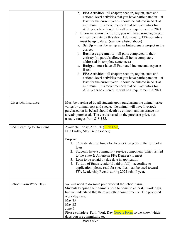|                          | h. FFA Activities - all chapter, section, region, state and<br>national level activities that you have participated in $-$ at<br>least for the current year – should be entered in AET at<br>minimum. It is recommended that ALL activities for<br>ALL years be entered. It will be a requirement in 2021.<br>2. If you are a new Exhibitor, you will have some ag project<br>entries to create by this date. Additionally, FFA activities<br>must be up to date. (see icons listed above)<br>a. Set $Up$ – must be set up as an Entrepreneur project in the<br>correct<br>b. Business agreements $-\text{all parts completed in their}$<br>entirety (no partials allowed; all items completely<br>addressed in complete sentences.)<br>c. Budget – must have all Estimated income and expenses<br>listed<br>d. FFA Activities - all chapter, section, region, state and<br>national level activities that you have participated in $-$ at<br>least for the current year – should be entered in AET at<br>minimum. It is recommended that ALL activities for<br>ALL years be entered. It will be a requirement in 2021. |
|--------------------------|-------------------------------------------------------------------------------------------------------------------------------------------------------------------------------------------------------------------------------------------------------------------------------------------------------------------------------------------------------------------------------------------------------------------------------------------------------------------------------------------------------------------------------------------------------------------------------------------------------------------------------------------------------------------------------------------------------------------------------------------------------------------------------------------------------------------------------------------------------------------------------------------------------------------------------------------------------------------------------------------------------------------------------------------------------------------------------------------------------------------------|
| Livestock Insurance      | Must be purchased by all students upon purchasing the animal; price<br>varies by animal cost and specie. No animal will have livestock<br>purchased on its behalf should death be eminent and insurance not<br>already purchased. The cost is based on the purchase price, but<br>usually ranges from \$18-\$35.                                                                                                                                                                                                                                                                                                                                                                                                                                                                                                                                                                                                                                                                                                                                                                                                        |
| SAE Learning to Do Grant | Available Friday, April 30 (Link here)<br>Due Friday, May 14 (or sooner)<br>Purpose:<br>Provide start up funds for livestock projects in the form of a<br>loan<br>2. Students have a community service component (which is tied<br>to the State & American FFA Degrees) to meet<br>3. Loan to be repaid by due date in application<br>4. Portion of funds repaid (if paid in full) - according to<br>application; please read for specifics - can be used toward<br>FFA Leadership Events during 2022 school year.                                                                                                                                                                                                                                                                                                                                                                                                                                                                                                                                                                                                      |
| School Farm Work Days    | We will need to do some prep work at the school farm.<br>Students keeping their animals need to come to at least 2 work days,<br>but we understand that there are other commitments. The proposed<br>work days are:<br>May 15<br>May 22<br>June 5<br>Please complete Farm Work Day Google Form so we know which<br>days you are committing to.                                                                                                                                                                                                                                                                                                                                                                                                                                                                                                                                                                                                                                                                                                                                                                          |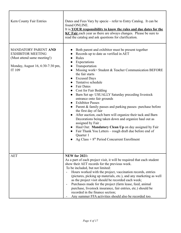| Kern County Fair Entries                                                                                                             | Dates and Fees Vary by specie – refer to Entry Catalog. It can be<br>found ONLINE.<br>It is <b>YOUR</b> responsibility to know the rules and due dates for the<br>KC Fair each year as there are always changes. Please be sure to<br>read the catalog and ask questions for clarification.                                                                                                                                                                                                                                                                                                                                                                                                                                                                                                                                                                                                                                                                  |
|--------------------------------------------------------------------------------------------------------------------------------------|--------------------------------------------------------------------------------------------------------------------------------------------------------------------------------------------------------------------------------------------------------------------------------------------------------------------------------------------------------------------------------------------------------------------------------------------------------------------------------------------------------------------------------------------------------------------------------------------------------------------------------------------------------------------------------------------------------------------------------------------------------------------------------------------------------------------------------------------------------------------------------------------------------------------------------------------------------------|
| <b>MANDATORY PARENT AND</b><br><b>EXHIBITOR MEETING</b><br>(Must attend same meeting!)<br>Monday, August 16, 6:30-7:30 pm,<br>IT 109 | Both parent and exhibitor must be present together<br>Records up to date as verified in AET<br>Rules<br>Expectations<br>$\bullet$<br>Transportation<br>Missing work= Student & Teacher Communication BEFORE<br>$\bullet$<br>the fair starts<br><b>Excused Days</b><br>$\bullet$<br>Tentative schedule<br><b>Fair Dates</b><br>$\bullet$<br><b>Cost for Fair Bedding</b><br>$\bullet$<br>Barn Set up- USUALLY Saturday preceding livestock<br>$\bullet$<br>entrance onto fair grounds<br><b>Exhibitor Passes</b><br>Parent & family passes and parking passes- purchase before<br>$\bullet$<br>the first day of fair<br>After auction, each barn will organize their tack and Barn<br>Decorations being taken down and organize haul out as<br>assigned by Fair.<br>Haul Out: Mandatory Clean Up on day assigned by Fair<br>$\bullet$<br>Fair Thank You Letters – rough draft due before end of<br>Quarter 1<br>Ag Class + $8th$ Period Concurrent Enrollment |
| <b>AET</b>                                                                                                                           | <b>NEW for 2021:</b><br>As a part of each project visit, it will be required that each student<br>show their AET records for the previous week.<br>To be included, but not limited:<br>Hours worked with the project, vaccination records, entries<br>(pictures, picking up materials, etc.), and any marketing as well<br>as the project visit should be recorded each week;<br>Purchases made for the project (farm lease, feed, animal<br>$\qquad \qquad \blacksquare$<br>purchase, livestock insurance, fair entries, etc.) should be<br>recorded in the finance section;<br>Any summer FFA activities should also be recorded too.                                                                                                                                                                                                                                                                                                                      |

٦

Г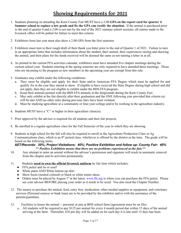## **Showing Requirements for 2021**

- 1. Students planning on attending the Kern County Fair MUST have a 2.00 **GPA on the report card for quarter 4**. **Summer school to replace a low grade and fix the GPA can rectify the situation.** If the animal is purchased prior to the end of quarter 4 and a 2.00 is not met by the end of the 2021 summer school sessions, all entries made to the livestock office will be pulled for failure to meet this criteria.
- 2. Exhibitors from last year must also show a 2.00 GPA from the first semester.
- 3. Exhibitors must turn in their rough draft of their thank you letter prior to the end of Quarter 1 of 2021. Failure to turn in an appropriate letter that includes information about the student, their animal, their experiences raising and showing the animal, and their plans for the funds received will be deemed the same as not turning a letter in at all.
- 4. As printed in the current FFA activities calendar, exhibitors must have attended five chapter meetings during the current school year. Students entering at the spring semester are only required to have attended three meetings. Those who are incoming to the program as new members in the upcoming year are exempt from this rule.
- 5. Graduates may exhibit under the following conditions:
	- a. They must be eligible and apply for their State and/or American FFA Degree which must be applied for and qualify for in the year they intend to show. If eligible to have received the State Degree during high school and did not apply, then they are not eligible to exhibit under the BHS FFA program;
	- b. Keep their animals penned with the BHS FFA animals at the fairgrounds during the Kern County Fair;
	- c. May only exhibit at the fair directly after their graduation and the ONE following year provided that criteria (a) will be met AND no other rules during previous fairs have been violated;
	- d. Must be studying agriculture at a community or four-year college and/or be working in the agriculture industry.
- 6. Students MUST have a "C" or higher in their agriculture class(es).
- 7. Prior approval by the advisor is required for all students and their fair projects.
- 8. Be enrolled in a regular agriculture class for the Fall Semester of the year in which they are showing.
- 9. Students in high school for the fall will also be required to enroll in the Agriculture Production Class or Ag Communications class, which is an  $8<sup>th</sup>$  period class, whichever is offered by the district at the time. The grade will be based on the following items.

*AET/Records: 20%; Project Visitations: 40%; Positive Exhibition and follow up- County Fair: 40% \*\* Positive Exhibition means that there are no problems experienced at the fair.\*\**

- 10. Any attempt to enter an animal without the advisor's permission and signature will result in automatic removal from the chapter and its activities permanently.
- 11. Students **need to own the official livestock uniform** by fair time which includes:
	- FFA jacket and tie or scarf
	- White pants AND White button-up shirt
	- Show boots (neutral colored) or black or white tennis shoes
	- Orders must be placed by August 1<sup>st</sup> at the latest. [www.ffa.org](http://www.ffa.org) is where you can purchase the FFA jacket. Please see your advisor BEFORE placing your order as it needs to be sized. You also need the Chapter Number.
- 12. The money to purchase the animal, feed, entry fees, medication, other needed supplies or equipment, and veterinary services (Personal sources or bank loan) are to be provided by the exhibitor and/or with the assistance of the parents/guardians.
- 13. Facilities to house the animal -- personal or pen at BHS school farm (agreement must be on file).
	- a. All students will be required to pay \$125 per animal for every 4 month period due within 15 days of the animal arriving at the farm. Thereafter, \$10 per day will be added on for each day it is late until 15 days has been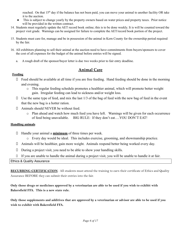reached. On that 15<sup>th</sup> day if the balance has not been paid, you can move your animal to another facility OR take it to the auction.

- This is subject to change yearly by the property owners based on water prices and property taxes. Prior notice will be provided in the written contract.
- 14. Students must regularly update the AET record book online; this is to be done weekly. It is will be counted toward the project visit grade. Warnings can be assigned for failure to complete the AET/record book portion of the project.
- 15. Students must care for, manage and be in possession of the animal in Kern County for the ownership period required by the fair.
- 16. All exhibitors planning to sell their animal at the auction need to have commitments from buyers/sponsors to cover the cost of all expenses for the budget of the animal before entries will be signed.
	- a. A rough draft of the sponsor/buyer letter is due two weeks prior to fair entry deadline.

#### **Animal Care**

#### **Feeding**

- $\Box$  Feed should be available at all time if you are free feeding. Hand feeding should be done in the morning and evening.
	- o This regular feeding schedule promotes a healthier animal, which will promote better weight gain. Irregular feeding can lead to sickness and/or weight loss.
- $\Box$  Use the same type of feed, and mix the last 1/3 of the bag of feed with the new bag of feed in the event that the new bag is a hotter ration.
- ⮚ Animals should NEVER be without feed.
	- o Plan ahead and watch how much feed you have left. Warnings will be given for each occurrence of feed being unavailable. BIG RULE: If they don't eat….YOU DON'T EAT!

#### **Handling animals**

- ⮚ Handle your animal a **minimum** of three times per week.
	- o Every day would be ideal. This includes exercise, grooming, and showmanship practice.
- ⮚ Animals will be healthier, gain more weight. Animals respond better being worked every day.
- ⮚ During a project visit, you need to be able to show your handling skills.
- $\Box$  If you are unable to handle the animal during a project visit, you will be unable to handle it at fair.

Ethics & Quality Assurance

**RECURRING CERTIFICATION**: All students must attend the training to earn their certificate of Ethics and Quality Assurance BEFORE they can submit their entries into the fair.

Only those drugs or medicines approved by a veterinarian are able to be used if you wish to exhibit with **Bakersfield FFA. This is a new state rule.**

Only those supplements and additives that are approved by a veterinarian or advisor are able to be used if you **wish to exhibit with Bakersfield FFA.**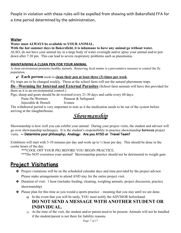People in violation with these rules will be expelled from showing with Bakersfield FFA for a time period determined by the administration,

#### **Water**

#### **Water must ALWAYS be available to YOUR ANIMAL.**

#### **With the hot summer days in Bakersfield, it is inhumane to have any animal go without water.**

ALSO, do not have your animal lay in a large body of water overnight and/or spray your animal and/or pen down after 7:30 pm. This can lead to severe respiratory problems such as pneumonia.

#### **MAINTAINING A CLEAN PEN FOR YOUR ANIMAL**

A clean environment promotes healthy animals. Removing fecal matter is a preventative measure to control the fly population.

#### ✔ **Each person** needs to **clean their pen at least three (3) times per week**.

Fly traps are to be changed weekly. Those at the school farm will use the natural pheromone traps.

**De –Worming for Internal and External Parasites** (School farm animals will have this provided for them as it is an environmental control.)

Pigs, sheep and goats should be de-wormed every 21-30 days and cattle every 60 days.

Paste De-Wormers Panacur & Safeguard

Injectable & Drench Ivomec

The withdrawal period is very important to note as it the medication needs to be out of the system before arriving at the slaughterhouse.

## **Showmanship**

Showmanship is how well you can exhibit your animal. During your project visits, the student and advisor will go over showmanship techniques. It is the student's responsibility to practice showmanship **between** project visits. -- Determine your philosophy; Analogy: Are you AYSO or Travel Team?

Exhibitors will start with 5-10 minutes per day and work up to  $\frac{1}{2}$  hour per day. This should be done in the cooler hours of the day.

\*\*\*COOL OFF YOUR PIG BEFORE YOU BEGIN PRACTICE.

\*\*\*Do NOT overstress your animal! Showmanship practice should not be detrimental to weight gain.

## **Project Visitations**

- ❖ Project visitations will be on the scheduled calendar days and time provided by the project advisor. Please make arrangements to attend AND stay for the entire project visit.
- ❖ Duration of visit: 1 hour (includes feeding, cleaning, weighing animals, project discussion, practice showmanship)
- ❖ Please plan for this time as you would a sports practice meaning that you stay until we are done.
	- ❑ In the event that you will be tardy, YOU must notify the ADVISOR beforehand.

## **DO NOT SEND A MESSAGE WITH ANOTHER STUDENT OR INDIVIDUAL.**

❑ At the time of the visit, the student and/or parent need to be present. Animals will not be handled if the student/parent is not there for liability reasons.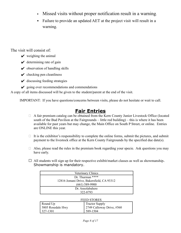- Missed visits without proper notification result in a warning.
- Failure to provide an updated AET at the project visit will result in a warning.

The visit will consist of:

- $\vee$  weighing the animal
- $\vee$  determining rate of gain
- $\triangleright$  observation of handling skills
- $\vee$  checking pen cleanliness
- $\vee$  discussing feeding strategies
- $\mathcal V$  going over recommendations and commendations

A copy of all items discussed will be given to the student/parent at the end of the visit.

IMPORTANT: If you have questions/concerns between visits, please do not hesitate or wait to call.

## **Fair Entries**

- $\Box$  A fair premium catalog can be obtained from the Kern County Junior Livestock Office (located south of the Bud Pavilion at the Fairgrounds – little red building) – this is where it has been available for past years but may change, the Main Office on South P Street, or online. Entries are ONLINE this year.
- $\Box$  It is the exhibitor's responsibility to complete the online forms, submit the pictures, and submit payment to the livestock office at the Kern County Fairgrounds by the specified due date(s).
- $\Box$  Also, please read the rules in the premium book regarding your specie. Ask questions you may have early.
- $\Box$  All students will sign up for their respective exhibit/market classes as well as showmanship. Showmanship is mandatory.

| <b>Veterinary Clinics</b>                 |  |  |
|-------------------------------------------|--|--|
| Dr. Thurman ****                          |  |  |
| 12816 Jomani Drive, Bakersfield, CA 93312 |  |  |
| $(661)$ 589-9900                          |  |  |
| Dr. Ansolabahere                          |  |  |
| 322-8793                                  |  |  |

#### FEED STORES

| Round Up          | <b>Tractor Supply</b>     |
|-------------------|---------------------------|
| 5805 Rosedale Hwy | 2749 Calloway Drive, #560 |
| 327-1301          | 589-1504                  |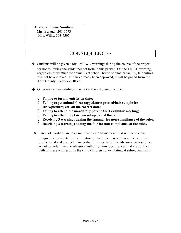#### **Advisors' Phone Numbers**

Mrs. Eyraud: 201-1673 Mrs. Wilke: 303-7507

## **CONSEQUENCES**

- ❖ Students will be given a total of TWO warnings during the course of the project for not following the guidelines set forth in this packet. On the THIRD warning, regardless of whether the animal is at school, home or another facility, fair entries will not be approved. If it has already been approved, it will be pulled from the Kern County Livestock Office.
- ◆ Other reasons an exhibitor may not end up showing include:
	- ⮚ **Failing to turn in entries on time;**
	- ⮚ **Failing to get animal(s) ear tagged/nose printed/hair sample for DNA/pictures, etc. on the correct date;**
	- ⮚ **Failing to attend the mandatory parent AND exhibitor meeting;**
	- ⮚ **Failing to attend the fair pen set up day at the fair;**
	- ⮚ **Receiving 3 warnings during the summer for non-compliance of the rules;**
	- ⮚ **Receiving 3 warnings during the fair for non-compliance of the rules.**
- ❖ Parents/Guardians are to ensure that they **and/or** their child will handle any

disagreement/dispute for the duration of the project as well as at the fair in a professional and discreet manner that is respectful of the advisor's profession so as not to undermine the advisor's authority. Any occurrences that are conflict with this rule will result in the child/children not exhibiting at subsequent fairs.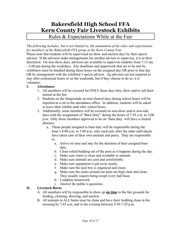## **Bakersfield High School FFA Kern County Fair Livestock Exhibits**

Rules & Expectations While at the Fair

*The following includes, but is not limited to, the summation of the rules and expectations for members of the Bakersfield FFA group at the Kern County Fair.*

Please note that students will be supervised on show and auction days by their specie advisor. If the advisors make arrangements for another advisor to supervise, it is at their discretion. On non-show days, advisors are available to supervise students from 7:15 am - 3:00 pm during the weekdays. Any deadlines and paperwork that are to be met by exhibitors must be handled during those hours on the assigned day OR prior to that day OR by arrangement with the exhibitor's specie advisor. Ag advisors are not required to stay after contractual hours or on the weekends, but if they choose to do so, it is voluntary.

#### **I. Attendance**

- 1. All members will be excused for ONLY those days they show and/or sell their animal at the fair.
- 2. Students on the fairgrounds on non-cleared days during school hours will be reported as a cut to the attendance office. In addition, students will be asked to leave their exhibit until after school hours.
- 3. Additionally, some members will be excused on non-show and/or non-sale days with the assignment of "Barn Duty" during the hours of 7:45 a.m. to 3:00 p.m. Only those members approved to be on "barn duty: will have a cleared absence.
	- a. Those people assigned to barn duty will be responsible during the hour's 8:00 a.m. to 3:00 p.m. only (and only after the other individuals have taken care of their own animals and pens). They are responsible to:
		- a. Arrive on time and stay for the duration of their assigned barn duty.
		- b. Clean soiled bedding out of the pens as it happens during the day.
		- c. Make sure water is clean and available to animals.
		- d. Make sure animals are cool and comfortable.
		- e. Make sure equipment is put away neatly.
		- f. Make sure the tack box is organized and clean.
		- g. Make sure the aisles around our pens are kept clear and clean. They usually require being swept every half hour.
		- h. Complete homework.
		- i. Answer the public's questions.

#### **II. Livestock Barns**

- A. All members will be responsible to show up **on time** to the fair grounds for feeding, cleaning, showing, and auction.
- B. All animals in ALL barns must be clean and have their bedding clean in the morning by 7:45 a.m. and in the evening between 5:30-7:30 p.m.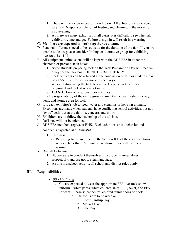- 1. There will be a sign in board in each barn. All exhibitors are expected to SIGN IN upon completion of feeding and cleaning in the morning **and** evening.
- 2. As there are many exhibitors in all barns, it is difficult to see when all exhibitors come and go. Failure to sign in will result in a warning.
- **C. Members are expected to work together as a team.**
- D. Personal differences need to be set-aside for the duration of the fair. If you are unable to do so, please consider finding an alternative group for exhibiting livestock, i.e. 4-H.
- E. All equipment, animals, etc. will be kept with the BHS FFA in either the chapter's or personal tack boxes.
	- 1. Some students preparing tack on the Tack Preparation Day will receive a key for the tack box. DO NOT LOSE THE KEY!
	- 2. Tack box keys can be returned at the conclusion of fair, or students may pay a \$5.00 fee for lost or non-returned keys.
	- 3. All exhibitors using the tack box are to keep the tack box clean, organized and locked when not in use.
	- *4.* DO NOT loan out equipment or your key.
- F. It is the responsibility of the entire group to maintain a clean aisle walkway, pens, and storage area for tack.
- G. It is each exhibitor's job to feed, water and clean his or her **own** animals. Exceptions are made when students have conflicting school activities, but not "extra" activities at the fair, i.e. concerts and shows.
- H. Exhibitors are to follow the leadership of the advisor.
- I. Defiance will not be tolerated.
- J. BHS FFA members represent BHS. Each exhibitor's best behavior and

conduct is expected at all times!

- 1. Tardiness
	- a. Reporting times are given in the Section II B of these expectations. Anyone later than 15 minutes past those times will receive a warning.
- K. Overall Behavior
	- 1. Students are to conduct themselves in a proper manner, dress respectably, and use good, clean language.
	- 2. As this is a school activity, all school and district rules apply.

#### **III. Responsibilities**

- A. FFA Uniforms
	- 1. You are expected to wear the appropriate FFA livestock show uniform – white pants, white collared shirt, FFA jacket, and FFA tie/scarf. Please select neutral colored tennis shoes or boots.
		- a. Uniforms are to be worn on:
			- 1. Showmanship Day
			- 2. Market Day
			- 3. Sale Day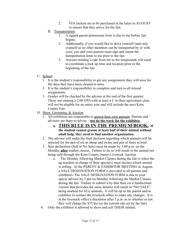- 2. FFA Jackets are to be purchased at the latest in AUGUST to ensure that they arrive for the fair.
- B. Transportation
	- 1. A signed parent permission form is due to me before fair begins.
	- 2. Additionally, if you would like to drive yourself (and only yourself as no other members can be transported by or with you), you and your parents must sign and return the transportation form to me prior to the fair.
	- 3. Anyone needing a ride from me to the fairgrounds will need to coordinate a pick up time and location prior to the beginning of the fair.
- C. School
	- 1. It is the student's responsibility to get any assignments they will miss for the days they have been cleared to miss.
	- 2. It is the student's responsibility to complete and turn in all missed assignments.
	- 3. Grades will be checked by the advisor at the end of the first quarter. Those not earning a 2.00 GPA with at least a C in their agriculture class will not be eligible for an entire year and will include the next Kern County Fair.
- D. Show, Grooming, & Auction
	- 1. All exhibitors are responsible to groom their own animals. Parents and advisors are there to advise – **not do the work for the exhibitor.**
		- **a. THIS RULE IS IN THE PREMIUM BOOK. If the student cannot groom at least half of their animal without adult help, they need to find another organization.**
	- 2. The advisor will make the final decision regarding which animals will be selected for the pen of six in sheep and swine and pen of three in beef.
	- 3. Sale declaration (Sell or No Sale) must be made by 3:00 p.m. on the Monday **after** market classes. Failure to do so will result in the animal not being sold through the Kern County Junior Livestock Auction.
		- a. The Monday following Market Classes during the fair is when the ag teachers in charge of their specie(s) must declare which animal is selling. At the PARENT & EXHIBITOR MEETING in August, a SALE DESIGNATION FORM is provided to all parents and exhibitors. The SALE DESIGNATION FORM is due to your specie advisor by 3 pm on Monday following the Market Classes during the fair. Failure to submit it by that time (or a handwritten version that provides the same details) will result in "NO SALE" being marked for ALL animals. It will be up to the parent and/or exhibitor to contact the livestock office to make any changes. It is at the livestock office's discretion after 5 p.m. as to whether or not they will charge the \$75 fee (or the current rate set by the fair).
	- 4. Only the exhibitor is allowed to show and sell THEIR animal.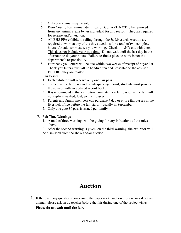- 5. Only one animal may be sold.
- 6. Kern County Fair animal identification tags **ARE NOT** to be removed from any animal's ears by an individual for any reason. They are required for release and/or auction.
- 7. All BHS FFA exhibitors selling through the Jr. Livestock Auction are required to work at any of the three auctions for a total of two complete hours. An advisor must see you working. Check in AND out with them. This does not include your sale time. Do not wait until the last day in the afternoon to do your hours. Failure to find a place to work is not the department's responsibility.
- 8. Fair thank you letters will be due within two weeks of receipt of buyer list. Thank you letters must all be handwritten and presented to the advisor BEFORE they are mailed.
- E. Fair Passes
	- 1. Each exhibitor will receive only one fair pass.
	- 2. To receive the fair pass and family-parking permit, students must provide the advisor with an updated record book.
	- 3. It is recommended that exhibitors laminate their fair passes as the fair will not replace washed, lost, etc. fair passes.
	- 4. Parents and family members can purchase 7 day or entire fair passes in the livestock office before the fair starts – usually in September.
	- 5. Only one gate 39 pass is issued per family.
- F. Fair Time Warnings
	- 1. A total of three warnings will be giving for any infractions of the rules above.
	- 2. After the second warning is given, on the third warning, the exhibitor will be dismissed from the show and/or auction.

## **Auction**

1. If there are any questions concerning the paperwork, auction process, or sale of an animal, please ask an ag teacher before the fair during one of the project visits. **Please do not wait until the fair.**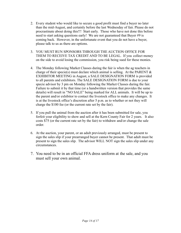- 2. Every student who would like to secure a good profit must find a buyer no later than the mid-August, and certainly before the last Wednesday of fair. Please do not procrastinate about doing this!!! Start early. Those who have not done this before need to start asking questions early! We are not guaranteed that Buyer #9 is coming back. However, in the unfortunate event that you do not have a buyer, please talk to us as there are options.
- 3. YOU MUST RUN SPONSORS THROUGH THE AUCTION OFFICE FOR THEM TO RECEIVE TAX CREDIT AND TO BE LEGAL. If you collect money on the side to avoid losing the commission, you risk being sued for these monies.
- 4. The Monday following Market Classes during the fair is when the ag teachers in charge of their specie(s) must declare which animal is selling. At the PARENT  $\&$ EXHIBITOR MEETING in August, a SALE DESIGNATION FORM is provided to all parents and exhibitors. The SALE DESIGNATION FORM is due to your specie advisor by 3 pm on Monday following the Market Classes during the fair. Failure to submit it by that time (or a handwritten version that provides the same details) will result in "NO SALE" being marked for ALL animals. It will be up to the parent and/or exhibitor to contact the livestock office to make any changes. It is at the livestock office's discretion after 5 p.m. as to whether or not they will charge the \$100 fee (or the current rate set by the fair).
- 5. If you pull the animal from the auction after it has been submitted for sale, you forfeit your eligibility to show and sell at the Kern County Fair for 2 years. It also costs \$75 (or the current rate set by the fair) to withdraw and/or change the sale order.
- 6. At the auction, your parent, or an adult previously arranged, must be present to sign the sales slip if your prearranged buyer cannot be present. That adult must be present to sign the sales slip. The advisor WILL NOT sign the sales slip under any circumstances.
- 7. You need to be in an official FFA dress uniform at the sale, and you must sell your own animal.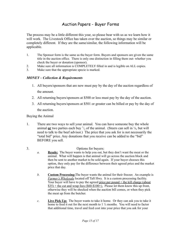### Auction Papers - Buyer Forms

The process may be a little different this year, so please bear with us as we learn how it will work. The Livestock Office has taken over the auction, so things may be similar or completely different. If they are the same/similar, the following information will be applicable.

- 1. The Sponsor form is the same as the buyer form. Buyers and sponsors are given the same title in the auction office. There is only one distinction in filling them out- whether you check the buyer or donation (sponsor).
- 2. Make sure all information is COMPLETELY filled in and is legible on ALL copies.
- 3. Make sure that the appropriate specie is marked.

#### *MONEY – Collection & Requirements*

- 1. All buyers/sponsors that are new must pay by the day of the auction regardless of the amount.
- 2. All returning buyers/sponsors at \$500 or less must pay by the day of the auction.
- 3. All returning buyers/sponsors at \$501 or greater can be billed or pay by the day of the auction.

Buying the Animal

- 1. There are two ways to sell your animal. You can have someone buy the whole animal  $or$  two parties each buy  $\frac{1}{2}$  of the animal. (Steers can sell in  $\frac{1}{4}$ , but will</u> need to talk to the beef advisor.) The price that you ask for is not necessarily the "total bid" price. Any donations that you receive can be added to the "bid" BEFORE you sell.
- 3. Options for buyers:
	- *a.* **Resale:** The buyer wants to help you out, but they don't want the meat or the animal. What will happen is that animal will go across the auction block and then be sent to another market to be sold again. If your buyer chooses this option, they only pay for the difference between their agreed price and the market price that day.
	- *b.* **Custom Processing:**The buyer wants the animal for their freezer. An example is *Farmer's Wholesale* located off Taft Hwy. It is a custom processing facility. Your buyer will have to pay the agreed price per pound  $+$  the kill charge (about  $$35$ ) + the cut and wrap fees (\$60-\$100+). Please let them know this up front, otherwise they will be shocked when the auction bill comes, or when they pick the meat up from the butcher.
	- *c.* **Live Pick Up:** The buyer wants to take it home. Or they can ask you to take it home to feed it out for the next month to 1 ½ months. You will need to factor that additional time, travel and feed cost into your price that you ask for your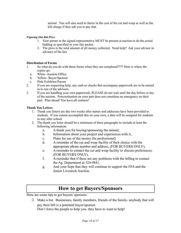animal. You will also need to factor in the cost of the cut and wrap as well as the kill charge if they ask you to pay that.

#### *Figuring Out Bid Price*

- 1. Your parent or the signed representative MUST be present at auction to do the actual bidding as specified in your fair packet.
- 2. The price is the total amount of all money collected. Need help? Ask your advisor in advance of the fair.

#### **Distribution of Forms**

- 1. So what do you do with these forms when they are completed???? Here is where the copies go:
	- a. White- Auction Office
	- b. Yellow- Buyer/Sponsor
- c. Pink-Exhibitor/Parent
- 2. If you are requesting help, any cash or checks that accompany paperwork are to be turned in to one of the advisors.
- 3. If you are handling your own paperwork, PLEASE do not wait until the day before or day of the auction. Procrastination on your part does not constitute an emergency on their part. Plan ahead! You have all summer!

#### **Thank You Letters**

- 1. Thank you letters are due two weeks after names and addresses have been provided to students. If you cannot accomplish this on your own, a date will be assigned for students to stay after school.
- 2. The thank you letter should be a minimum of three paragraphs to include at least the following information:
	- a. A thank you for buying/sponsoring the animal,
	- b. Information about your project and experiences with it,
	- c. Plans for use of the money (be professional)
	- d. A reminder of the cut and wrap facility of their choice with the appropriate phone number and address, (FOR BUYERS ONLY),
	- e. A reminder to contact the cut and wrap facility to discuss preferences, (FOR BUYERS ONLY),
	- f. A reminder that if there are any problems with the billing to contact the Ag. Department at 324-9841,
	- g. And your hope that they will continue to support the FFA and the Junior Livestock Auction.

## **How to get Buyers/Sponsors**

Here are some tips to get buyers/ sponsors.

 $\Box$  Make a list. Businesses, family members, friends of the family- anybody that will pay their bill is a potential buyer/sponsor.

Don't force the people to help you- they have to want to help!